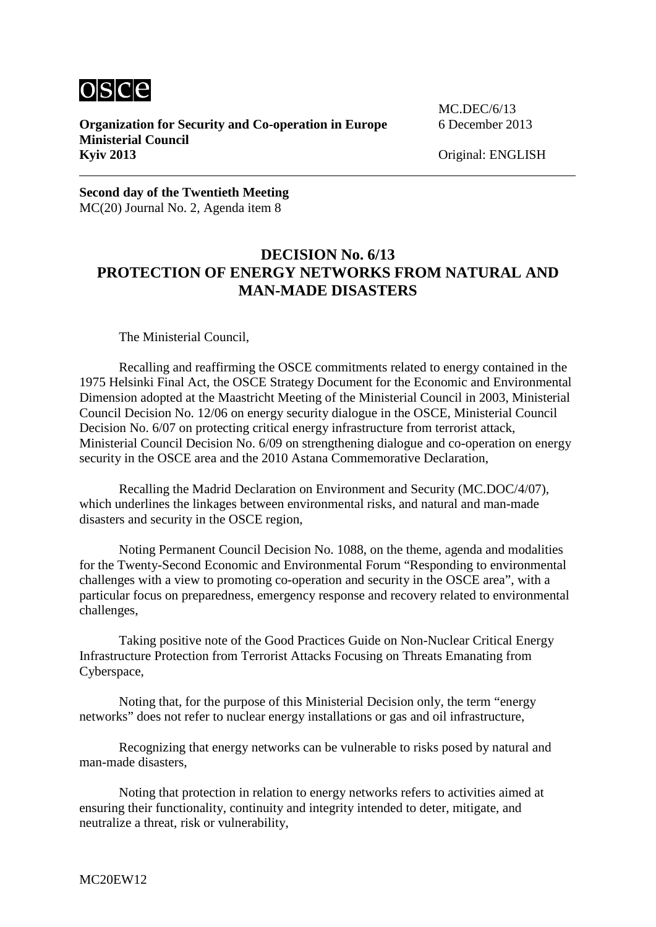

**Organization for Security and Co-operation in Europe** 6 December 2013 **Ministerial Council Kyiv 2013** Original: ENGLISH

MC.DEC/6/13

**Second day of the Twentieth Meeting** MC(20) Journal No. 2, Agenda item 8

## **DECISION No. 6/13 PROTECTION OF ENERGY NETWORKS FROM NATURAL AND MAN-MADE DISASTERS**

The Ministerial Council,

Recalling and reaffirming the OSCE commitments related to energy contained in the 1975 Helsinki Final Act, the OSCE Strategy Document for the Economic and Environmental Dimension adopted at the Maastricht Meeting of the Ministerial Council in 2003, Ministerial Council Decision No. 12/06 on energy security dialogue in the OSCE, Ministerial Council Decision No. 6/07 on protecting critical energy infrastructure from terrorist attack, Ministerial Council Decision No. 6/09 on strengthening dialogue and co-operation on energy security in the OSCE area and the 2010 Astana Commemorative Declaration,

Recalling the Madrid Declaration on Environment and Security (MC.DOC/4/07), which underlines the linkages between environmental risks, and natural and man-made disasters and security in the OSCE region,

Noting Permanent Council Decision No. 1088, on the theme, agenda and modalities for the Twenty-Second Economic and Environmental Forum "Responding to environmental challenges with a view to promoting co-operation and security in the OSCE area", with a particular focus on preparedness, emergency response and recovery related to environmental challenges,

Taking positive note of the Good Practices Guide on Non-Nuclear Critical Energy Infrastructure Protection from Terrorist Attacks Focusing on Threats Emanating from Cyberspace,

Noting that, for the purpose of this Ministerial Decision only, the term "energy networks" does not refer to nuclear energy installations or gas and oil infrastructure,

Recognizing that energy networks can be vulnerable to risks posed by natural and man-made disasters,

Noting that protection in relation to energy networks refers to activities aimed at ensuring their functionality, continuity and integrity intended to deter, mitigate, and neutralize a threat, risk or vulnerability,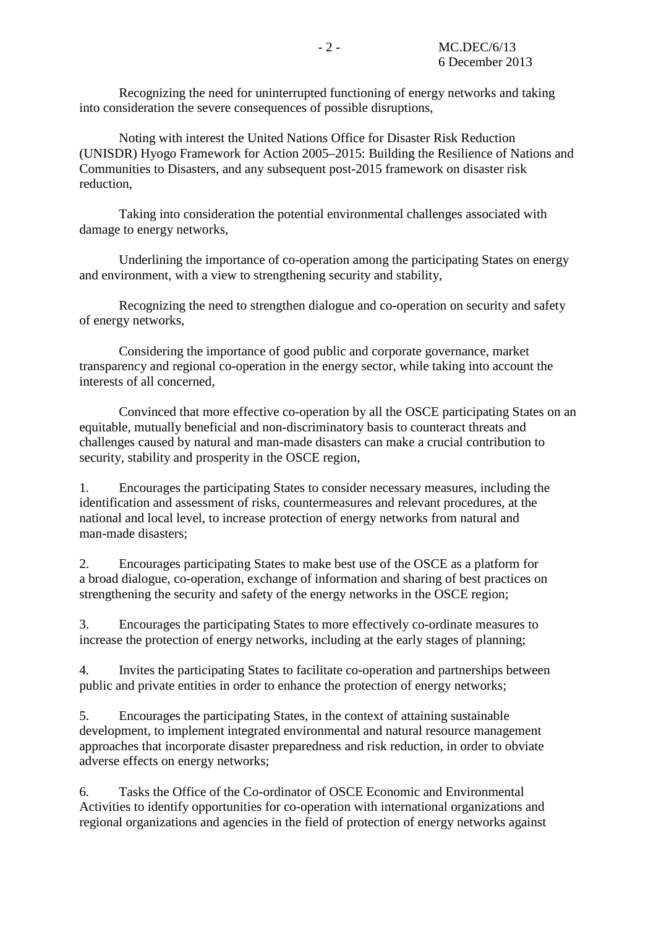Recognizing the need for uninterrupted functioning of energy networks and taking into consideration the severe consequences of possible disruptions,

Noting with interest the United Nations Office for Disaster Risk Reduction (UNISDR) Hyogo Framework for Action 2005–2015: Building the Resilience of Nations and Communities to Disasters, and any subsequent post-2015 framework on disaster risk reduction,

Taking into consideration the potential environmental challenges associated with damage to energy networks,

Underlining the importance of co-operation among the participating States on energy and environment, with a view to strengthening security and stability,

Recognizing the need to strengthen dialogue and co-operation on security and safety of energy networks,

Considering the importance of good public and corporate governance, market transparency and regional co-operation in the energy sector, while taking into account the interests of all concerned,

Convinced that more effective co-operation by all the OSCE participating States on an equitable, mutually beneficial and non-discriminatory basis to counteract threats and challenges caused by natural and man-made disasters can make a crucial contribution to security, stability and prosperity in the OSCE region,

1. Encourages the participating States to consider necessary measures, including the identification and assessment of risks, countermeasures and relevant procedures, at the national and local level, to increase protection of energy networks from natural and man-made disasters;

2. Encourages participating States to make best use of the OSCE as a platform for a broad dialogue, co-operation, exchange of information and sharing of best practices on strengthening the security and safety of the energy networks in the OSCE region;

3. Encourages the participating States to more effectively co-ordinate measures to increase the protection of energy networks, including at the early stages of planning;

4. Invites the participating States to facilitate co-operation and partnerships between public and private entities in order to enhance the protection of energy networks;

5. Encourages the participating States, in the context of attaining sustainable development, to implement integrated environmental and natural resource management approaches that incorporate disaster preparedness and risk reduction, in order to obviate adverse effects on energy networks;

6. Tasks the Office of the Co-ordinator of OSCE Economic and Environmental Activities to identify opportunities for co-operation with international organizations and regional organizations and agencies in the field of protection of energy networks against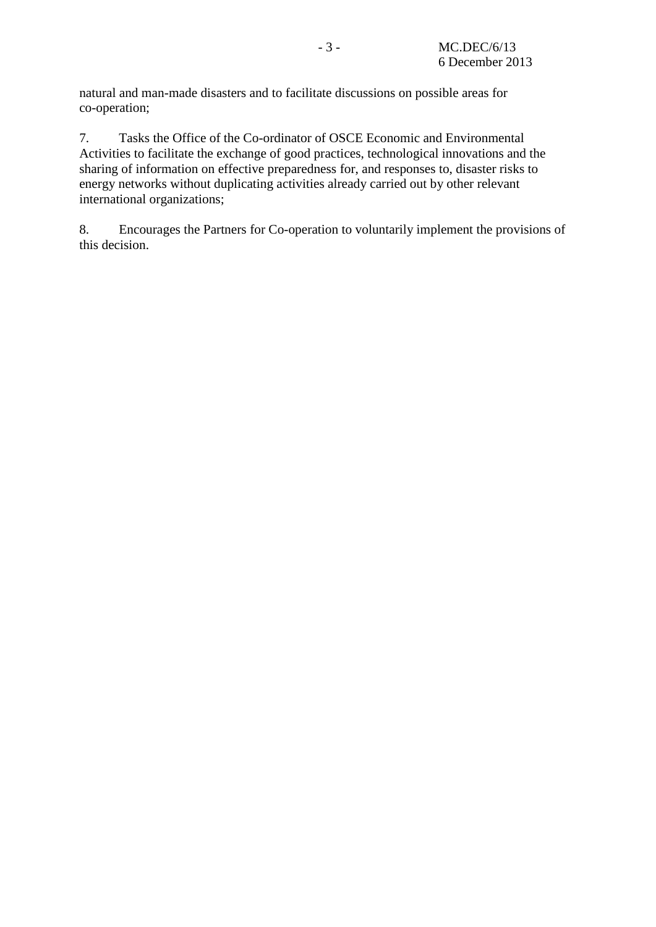natural and man-made disasters and to facilitate discussions on possible areas for co-operation;

7. Tasks the Office of the Co-ordinator of OSCE Economic and Environmental Activities to facilitate the exchange of good practices, technological innovations and the sharing of information on effective preparedness for, and responses to, disaster risks to energy networks without duplicating activities already carried out by other relevant international organizations;

8. Encourages the Partners for Co-operation to voluntarily implement the provisions of this decision.